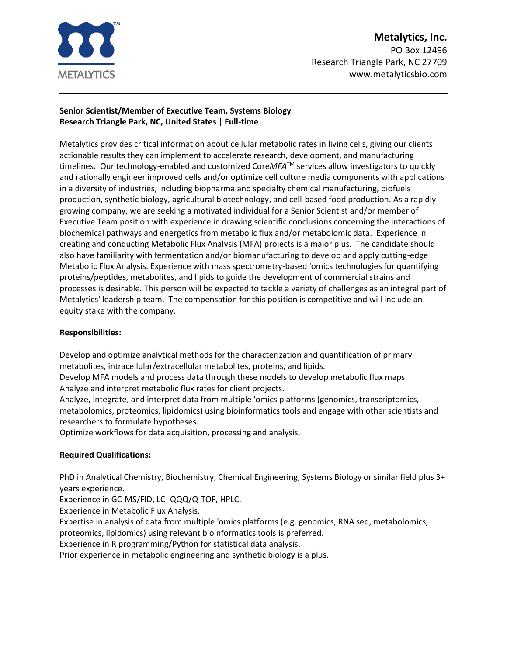

# **Metalytics, Inc.** PO Box 12496

Research Triangle Park, NC 27709 www.metalyticsbio.com

#### **Senior Scientist/Member of Executive Team, Systems Biology Research Triangle Park, NC, United States | Full-time**

Metalytics provides critical information about cellular metabolic rates in living cells, giving our clients actionable results they can implement to accelerate research, development, and manufacturing timelines. Our technology-enabled and customized CoreMFA<sup>TM</sup> services allow investigators to quickly and rationally engineer improved cells and/or optimize cell culture media components with applications in a diversity of industries, including biopharma and specialty chemical manufacturing, biofuels production, synthetic biology, agricultural biotechnology, and cell-based food production. As a rapidly growing company, we are seeking a motivated individual for a Senior Scientist and/or member of Executive Team position with experience in drawing scientific conclusions concerning the interactions of biochemical pathways and energetics from metabolic flux and/or metabolomic data. Experience in creating and conducting Metabolic Flux Analysis (MFA) projects is a major plus. The candidate should also have familiarity with fermentation and/or biomanufacturing to develop and apply cutting-edge Metabolic Flux Analysis. Experience with mass spectrometry-based 'omics technologies for quantifying proteins/peptides, metabolites, and lipids to guide the development of commercial strains and processes is desirable. This person will be expected to tackle a variety of challenges as an integral part of Metalytics' leadership team. The compensation for this position is competitive and will include an equity stake with the company.

## **Responsibilities:**

Develop and optimize analytical methods for the characterization and quantification of primary metabolites, intracellular/extracellular metabolites, proteins, and lipids.

Develop MFA models and process data through these models to develop metabolic flux maps. Analyze and interpret metabolic flux rates for client projects.

Analyze, integrate, and interpret data from multiple 'omics platforms (genomics, transcriptomics, metabolomics, proteomics, lipidomics) using bioinformatics tools and engage with other scientists and researchers to formulate hypotheses.

Optimize workflows for data acquisition, processing and analysis.

## **Required Qualifications:**

PhD in Analytical Chemistry, Biochemistry, Chemical Engineering, Systems Biology or similar field plus 3+ years experience.

Experience in GC-MS/FID, LC- QQQ/Q-TOF, HPLC.

Experience in Metabolic Flux Analysis.

Expertise in analysis of data from multiple 'omics platforms (e.g. genomics, RNA seq, metabolomics,

proteomics, lipidomics) using relevant bioinformatics tools is preferred.

Experience in R programming/Python for statistical data analysis.

Prior experience in metabolic engineering and synthetic biology is a plus.